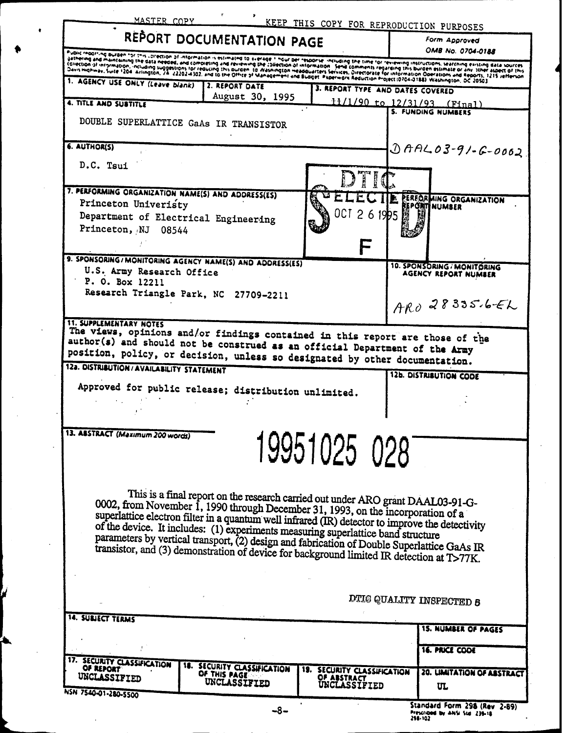| 6. AUTHOR(S)<br>D.C. Tsui                                                                                                    |                                                                                                                                                                                                                                                                                                                                                                                                                                                                                                                                                          |              |                        | $0000203 - 91 - 6 - 0002$                           |
|------------------------------------------------------------------------------------------------------------------------------|----------------------------------------------------------------------------------------------------------------------------------------------------------------------------------------------------------------------------------------------------------------------------------------------------------------------------------------------------------------------------------------------------------------------------------------------------------------------------------------------------------------------------------------------------------|--------------|------------------------|-----------------------------------------------------|
| 7. PERFORMING ORGANIZATION NAME(S) AND ADDRESS(ES)                                                                           |                                                                                                                                                                                                                                                                                                                                                                                                                                                                                                                                                          |              |                        |                                                     |
| Princeton Univeristy<br>Princeton, NJ 08544                                                                                  | Department of Electrical Engineering                                                                                                                                                                                                                                                                                                                                                                                                                                                                                                                     | OCT 2 6 1995 |                        | PERFORMING ORGANIZATION<br>I NUMBER                 |
|                                                                                                                              | 9. SPONSORING/MONITORING AGENCY NAME(S) AND ADDRESS(ES)                                                                                                                                                                                                                                                                                                                                                                                                                                                                                                  |              |                        | 10. SPONSORING / MONITORING<br>AGENCY REPORT NUMBER |
| U.S. Army Research Office<br>P. O. Box 12211<br><b>11. SUPPLEMENTARY NOTES</b><br>12a. DISTRIBUTION / AVAILABILITY STATEMENT | Research Triangle Park, NC 27709-2211<br>The views, opinions and/or findings contained in this report are those of the<br>author(s) and should not be construed as an official Department of the Army<br>position, policy, or decision, unless so designated by other documentation.<br>Approved for public release; distribution unlimited.                                                                                                                                                                                                             |              | 12b. DISTRIBUTION CODE | $ARO28335.6-EL$                                     |
|                                                                                                                              |                                                                                                                                                                                                                                                                                                                                                                                                                                                                                                                                                          |              |                        |                                                     |
| 13. ABSTRACT (Maximum 200 words)                                                                                             |                                                                                                                                                                                                                                                                                                                                                                                                                                                                                                                                                          | 19951025 028 |                        |                                                     |
|                                                                                                                              | This is a final report on the research carried out under ARO grant DAAL03-91-G-<br>0002, from November 1, 1990 through December 31, 1993, on the incorporation of a<br>superlattice electron filter in a quantum well infrared (IR) detector to improve the detectivity<br>of the device. It includes: (1) experiments measuring superlattice band structure<br>parameters by vertical transport, (2) design and fabrication of Double Superlattice GaAs IR<br>transistor, and (3) demonstration of device for background limited IR detection at T>77K. |              |                        |                                                     |

| Standard Form 298 (Rev 2-89     |  |  |
|---------------------------------|--|--|
| Prescribed by ANSI Std. 239-18. |  |  |
| 298-102                         |  |  |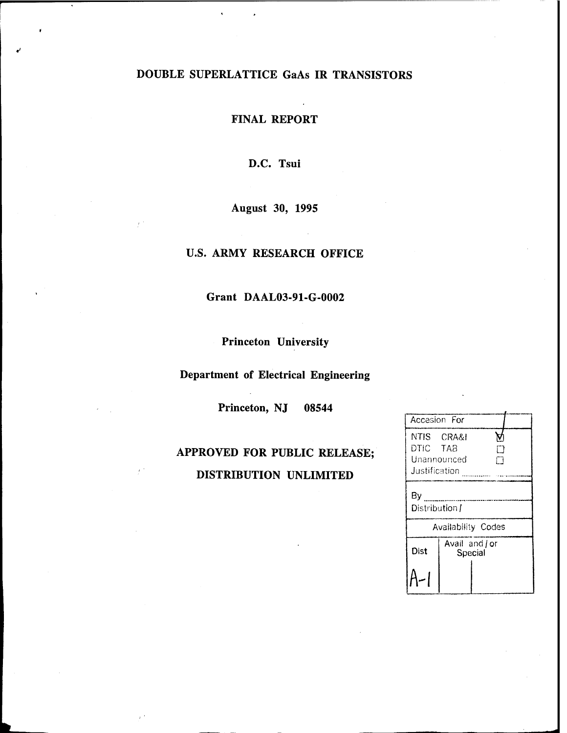## DOUBLE SUPERLATTICE GaAs IR TRANSISTORS

FINAL REPORT

D.C. Tsui

August 30, 1995

### U.S. ARMY RESEARCH OFFICE

Grant DAAL03-91-G-0002

Princeton University

Department of Electrical Engineering

Princeton, NJ 08544

## APPROVED FOR PUBLIC RELEASE; DISTRIBUTION UNLIMITED

| Accesion For              |                           |  |  |  |
|---------------------------|---------------------------|--|--|--|
| DTIC TAB<br>Justification | NTIS CRA&I<br>Unannounced |  |  |  |
| By<br>Distribution /      |                           |  |  |  |
| Availability Codes        |                           |  |  |  |
| Dist                      | Avail and or<br>Special   |  |  |  |
|                           |                           |  |  |  |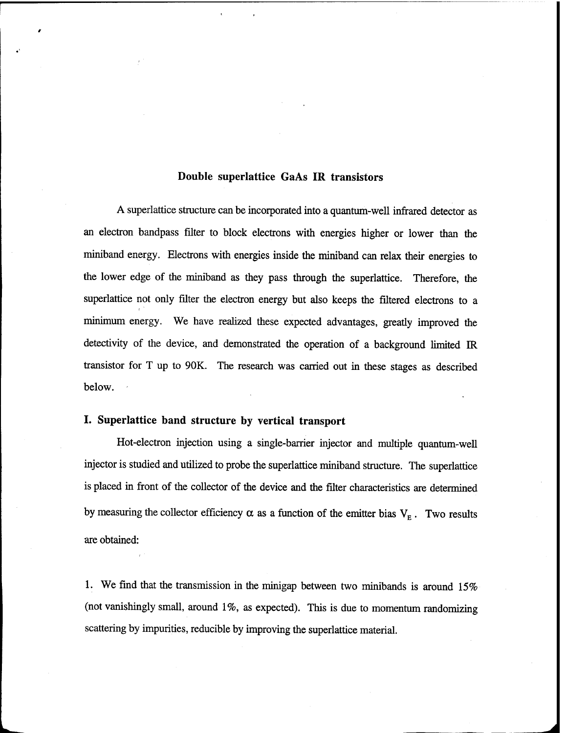### **Double superlattice GaAs IR transistors**

A superlattice structure can be incorporated into a quantum-well infrared detector as an electron bandpass filter to block electrons with energies higher or lower than the miniband energy. Electrons with energies inside the miniband can relax their energies to the lower edge of the miniband as they pass through the superlattice. Therefore, the superlattice not only filter the electron energy but also keeps the filtered electrons to a minimum energy. We have realized these expected advantages, greatly improved the detectivity of the device, and demonstrated the operation of a background limited ER transistor for T up to 90K. The research was carried out in these stages as described below.

### **I. Superlattice band structure by vertical transport**

Hot-electron injection using a single-barrier injector and multiple quantum-well injector is studied and utilized to probe the superlattice miniband structure. The superlattice is placed in front of the collector of the device and the filter characteristics are determined by measuring the collector efficiency  $\alpha$  as a function of the emitter bias  $V_E$ . Two results are obtained:

1. We find that the transmission in the minigap between two minibands is around 15% (not vanishingly small, around 1%, as expected). This is due to momentum randomizing scattering by impurities, reducible by improving the superlattice material.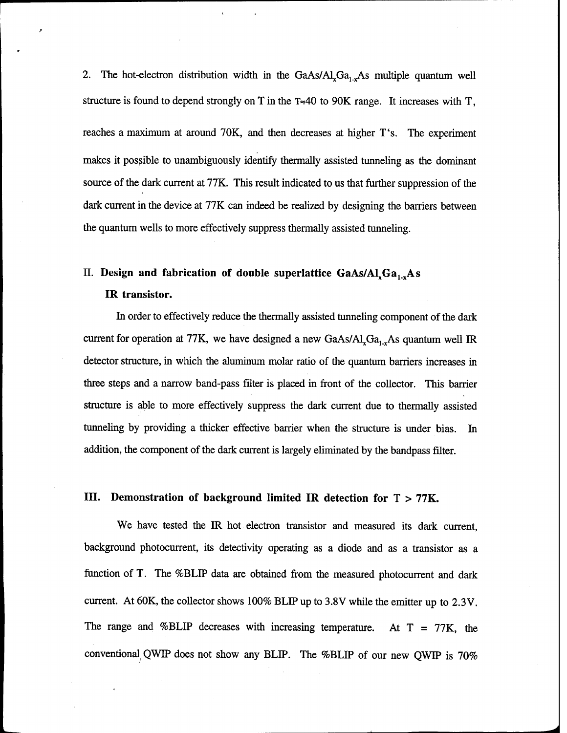2. The hot-electron distribution width in the  $GaAs/Al<sub>x</sub>Ga<sub>1-x</sub>As$  multiple quantum well structure is found to depend strongly on T in the  $T \approx 40$  to 90K range. It increases with T, reaches a maximum at around 70K, and then decreases at higher T's. The experiment makes it possible to unambiguously identify thermally assisted tunneling as the dominant source of the dark current at 77K. This result indicated to us that further suppression of the dark current in the device at 77K can indeed be realized by designing the barriers between the quantum wells to more effectively suppress thermally assisted tunneling.

# II. Design and fabrication of double superlattice GaAs/Al<sub>x</sub>Ga<sub>1,x</sub>As

**IR transistor.**

In order to effectively reduce the thermally assisted tunneling component of the dark current for operation at 77K, we have designed a new GaAs/ $AI_xGa_{1-x}As$  quantum well IR detector structure, in which the aluminum molar ratio of the quantum barriers increases in three steps and a narrow band-pass filter is placed in front of the collector. This barrier structure is able to more effectively suppress the dark current due to thermally assisted tunneling by providing a thicker effective barrier when the structure is under bias. In addition, the component of the dark current is largely eliminated by the bandpass filter.

### **III. Demonstration of background limited IR detection for** T > **77K.**

We have tested the IR hot electron transistor and measured its dark current, background photocurrent, its detectivity operating as a diode and as a transistor as a function of T. The %BLIP data are obtained from the measured photocurrent and dark current. At 60K, the collector shows 100% BLIP up to 3.8V while the emitter up to 2.3V. The range and %BLIP decreases with increasing temperature. At  $T = 77K$ , the conventional, QWIP does not show any BLIP. The %BLIP of our new QWIP is 70%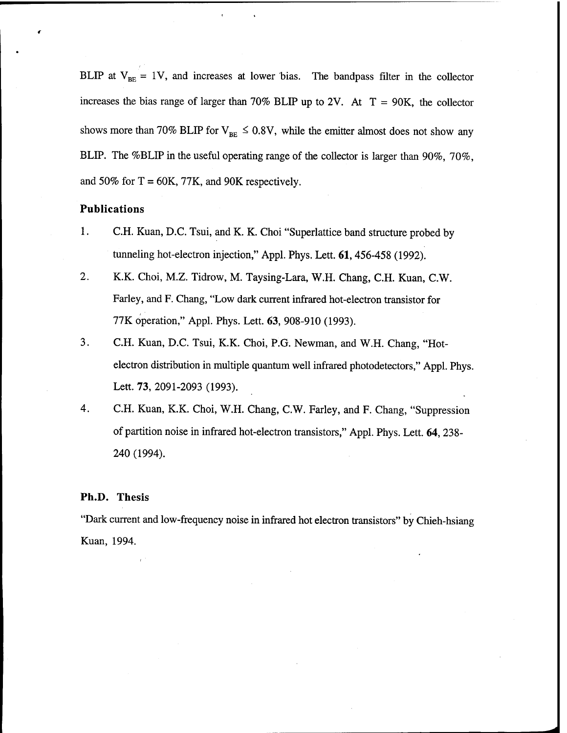BLIP at  $V_{BE} = 1V$ , and increases at lower bias. The bandpass filter in the collector increases the bias range of larger than 70% BLIP up to 2V. At  $T = 90K$ , the collector shows more than 70% BLIP for  $V_{BE} \le 0.8V$ , while the emitter almost does not show any BLIP. The %BLIP in the useful operating range of the collector is larger than 90%, 70%, and 50% for  $T = 60K$ , 77K, and 90K respectively.

### **Publications**

- 1. C.H. Kuan, D.C. Tsui, and K. K. Choi "Superlattice band structure probed by tunneling hot-electron injection," Appl. Phys. Lett. 61,456-458 (1992).
- 2. K.K. Choi, M.Z. Tidrow, M. Taysing-Lara, W.H. Chang, C.H. Kuan, C.W. Farley, and F. Chang, "Low dark current infrared hot-electron transistor for 77K operation," Appl. Phys. Lett. 63, 908-910 (1993).
- 3. C.H. Kuan, D.C. Tsui, K.K. Choi, P.G. Newman, and W.H. Chang, "Hotelectron distribution in multiple quantum well infrared photodetectors," Appl. Phys. Lett. 73, 2091-2093 (1993).
- 4. C.H. Kuan, K.K. Choi, W.H. Chang, C.W. Farley, and F. Chang, "Suppression of partition noise in infrared hot-electron transistors," Appl. Phys. Lett. 64, 238- 240 (1994).

#### **Ph.D. Thesis**

"Dark current and low-frequency noise in infrared hot electron transistors" by Chieh-hsiang Kuan, 1994.